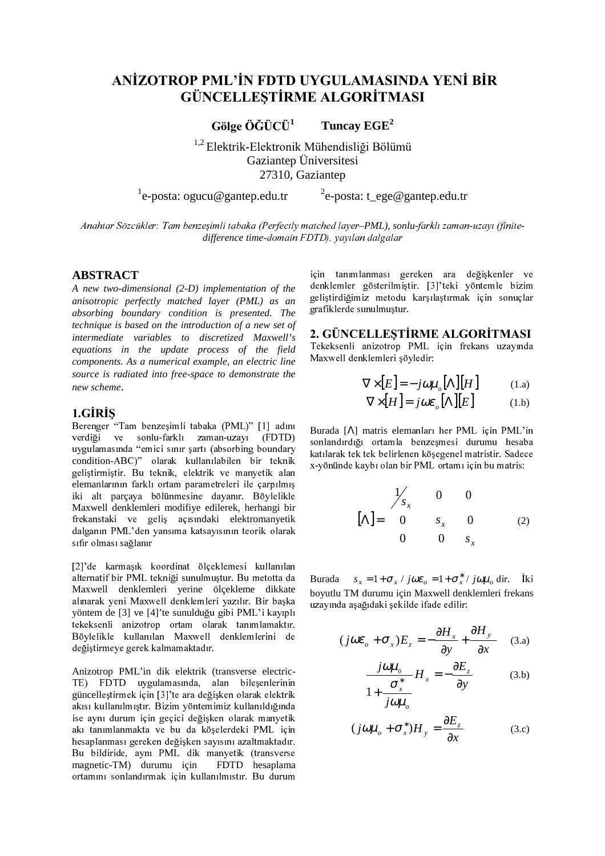# ANİZOTROP PML'İN FDTD UYGULAMASINDA YENİ BİR **GÜNCELLESTİRME ALGORİTMASI**

Gölge ÖĞÜCÜ<sup>1</sup> Tuncay EGE<sup>2</sup>

<sup>1,2</sup> Elektrik-Elektronik Mühendisliği Bölümü Gaziantep Üniversitesi 27310, Gaziantep

 $^{1}$ e-posta: ogucu@gantep.edu.tr

<sup>2</sup>e-posta: t ege@gantep.edu.tr

Anahtar Sözcükler: Tam benzeşimli tabaka (Perfectly matched layer-PML), sonlu-farklı zaman-uzayı (finitedifference time-domain FDTD), yayılan dalgalar

### **ABSTRACT**

A new two-dimensional (2-D) implementation of the anisotropic perfectly matched layer (PML) as an absorbing boundary condition is presented. The technique is based on the introduction of a new set of intermediate variables to discretized Maxwell's equations in the update process of the field components. As a numerical example, an electric line source is radiated into free-space to demonstrate the new scheme.

## 1.GIRIS

Berenger "Tam benzesimli tabaka (PML)" [1] adını verdiği ve sonlu-farklı zaman-uzayı (FDTD) uygulamasında "emici sınır şartı (absorbing boundary condition-ABC)" olarak kullanılabilen bir teknik geliştirmiştir. Bu teknik, elektrik ve manyetik alan elemanlarının farklı ortam parametreleri ile çarpılmış iki alt parcaya bölünmesine dayanır. Böylelikle Maxwell denklemleri modifive edilerek, herhangi bir frekanstaki ve geliş açısındaki elektromanyetik dalganın PML'den yansıma katsayısının teorik olarak sıfır olması sağlanır

[2]'de karmaşık koordinat ölçeklemesi kullanılan alternatif bir PML tekniği sunulmuştur. Bu metotta da Maxwell denklemleri yerine ölçekleme dikkate alınarak yeni Maxwell denklemleri yazılır. Bir başka yöntem de [3] ve [4]'te sunulduğu gibi PML'i kayıplı tekeksenli anizotrop ortam olarak tanımlamaktır. Böylelikle kullanılan Maxwell denklemlerini de değiştirmeye gerek kalmamaktadır.

Anizotrop PML'in dik elektrik (transverse electric-TE) FDTD uygulamasında, alan bileşenlerinin güncelleştirmek için [3]'te ara değişken olarak elektrik akısı kullanılmıştır. Bizim yöntemimiz kullanıldığında ise aynı durum için geçici değişken olarak manyetik akı tanımlanmakta ve bu da köselerdeki PML için hesaplanması gereken değisken sayısını azaltmaktadır. Bu bildiride, aynı PML dik manyetik (transverse magnetic-TM) durumu icin FDTD hesaplama ortamını sonlandırmak için kullanılmıştır. Bu durum

için tanımlanması gereken ara değişkenler ve denklemler gösterilmiştir. [3]'teki yöntemle bizim geliştirdiğimiz metodu karşılaştırmak için sonuçlar grafiklerde sunulmuştur.

# 2. GÜNCELLESTİRME ALGORİTMASI

Tekeksenli anizotrop PML için frekans uzayında Maxwell denklemleri söyledir:

$$
\nabla \times [E] = -j\omega \mu_o[\Lambda][H] \tag{1.a}
$$

$$
\nabla \times [H] = j\omega \varepsilon_o[\Lambda][E] \tag{1.b}
$$

Burada [A] matris elemanları her PML için PML'in sonlandırdığı ortamla benzesmesi durumu hesaba katılarak tek tek belirlenen köşegenel matristir. Sadece x-vönünde kaybı olan bir PML ortamı için bu matris:

$$
\begin{bmatrix} \Lambda \end{bmatrix} = \begin{bmatrix} 1/6 & 0 & 0 \\ 0 & s_x & 0 \\ 0 & 0 & s_x \end{bmatrix}
$$
 (2)

**Burada**  $s_r = 1 + \sigma_r / j\omega \varepsilon_q = 1 + \sigma_r^* / j\omega \mu_q$  dir. Iki boyutlu TM durumu için Maxwell denklemleri frekans uzayında aşağıdaki şekilde ifade edilir:

$$
(j\omega\varepsilon_{o} + \sigma_{x})E_{z} = -\frac{\partial H_{x}}{\partial y} + \frac{\partial H_{y}}{\partial x}
$$
 (3.a)

$$
\frac{j\omega\mu_o}{1 + \frac{\sigma_x^*}{j\omega\mu_o}} H_x = -\frac{\partial E_z}{\partial y}
$$
 (3.b)

$$
(j\omega\mu_o + \sigma_x^*)H_y = \frac{\partial E_z}{\partial x}
$$
 (3.c)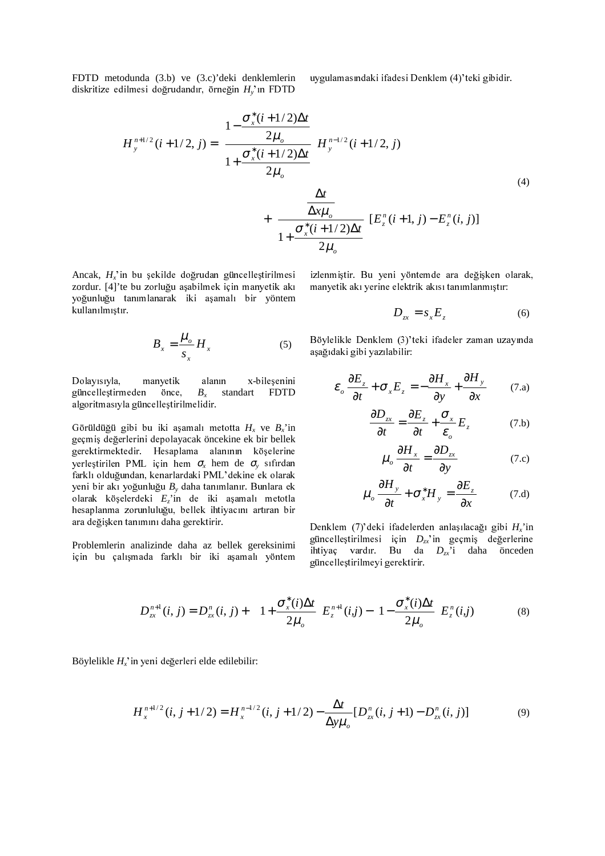FDTD metodunda (3.b) ve (3.c)'deki denklemlerin diskritize edilmesi doğrudandır, örneğin  $H_v$ 'ın FDTD

uygulamasındaki ifadesi Denklem (4)'teki gibidir.

$$
H_{y}^{n+1/2}(i+1/2, j) = \left(\frac{1 - \frac{\sigma_{x}^{*}(i+1/2)\Delta t}{2\mu_{o}}}{1 + \frac{\sigma_{x}^{*}(i+1/2)\Delta t}{2\mu_{o}}}\right) H_{y}^{n-1/2}(i+1/2, j)
$$
\n
$$
+ \left(\frac{\frac{\Delta t}{\Delta x\mu_{o}}}{1 + \frac{\sigma_{x}^{*}(i+1/2)\Delta t}{2\mu_{o}}}\right) E_{z}^{n}(i+1, j) - E_{z}^{n}(i, j)]
$$
\n(4)

Ancak,  $H_x$ 'in bu şekilde doğrudan güncelleştirilmesi zordur. [4]'te bu zorluğu aşabilmek için manyetik akı yoğunluğu tanımlanarak iki aşamalı bir yöntem kullanılmıştır.

$$
B_x = \frac{\mu_o}{s_x} H_x \tag{5}
$$

Dolayısıyla, manyetik alanın x-bileşenini güncelleştirmeden önce,  $B<sub>x</sub>$  standart FDTD algoritmasıyla güncelleştirilmelidir.

Görüldüğü gibi bu iki aşamalı metotta  $H_x$  ve  $B_x$ 'in geçmiş değerlerini depolayacak öncekine ek bir bellek gerektirmektedir. Hesaplama alanının köşelerine yerleştirilen PML için hem  $\sigma_r$  hem de  $\sigma_v$  sıfırdan farklı olduğundan, kenarlardaki PML'dekine ek olarak yeni bir akı yoğunluğu  $B_y$  daha tanımlanır. Bunlara ek olarak köşelerdeki  $E_i$ 'in de iki aşamalı metotla hesaplanma zorunluluğu, bellek ihtiyacını artıran bir ara değişken tanımını daha gerektirir.

Problemlerin analizinde daha az bellek gereksinimi için bu çalışmada farklı bir iki aşamalı yöntem izlenmiştir. Bu yeni yöntemde ara değişken olarak, manyetik akı yerine elektrik akısı tanımlanmıştır:

$$
D_{zx} = s_x E_z \tag{6}
$$

Böylelikle Denklem (3)'teki ifadeler zaman uzayında aşağıdaki gibi yazılabilir:

$$
\varepsilon_o \frac{\partial E_z}{\partial t} + \sigma_x E_z = -\frac{\partial H_x}{\partial y} + \frac{\partial H_y}{\partial x}
$$
 (7.a)

$$
\frac{\partial D_{xx}}{\partial t} = \frac{\partial E_z}{\partial t} + \frac{\sigma_x}{\varepsilon} E_z \tag{7.b}
$$

$$
u_o \frac{\partial H_x}{\partial t} = \frac{\partial D_{xx}}{\partial y}
$$
 (7.c)

$$
\mu_o \frac{\partial H_y}{\partial t} + \sigma_x^* H_y = \frac{\partial E_z}{\partial x}
$$
 (7.d)

Denklem (7)'deki ifadelerden anlaşılacağı gibi  $H_x$ 'in güncelleştirilmesi için  $D_{zx}$ 'in geçmiş değerlerine ihtiyaç vardır. Bu da  $D_{zx}$ 'i daha önceden güncellestirilmeyi gerektirir.

$$
D_{zx}^{n+1}(i,j) = D_{zx}^{n}(i,j) + \left[ \left( 1 + \frac{\sigma_x^*(i)\Delta t}{2\mu_o} \right) E_z^{n+1}(i,j) - \left( 1 - \frac{\sigma_x^*(i)\Delta t}{2\mu_o} \right) E_z^{n}(i,j) \right]
$$
(8)

Böylelikle  $H_r$ 'in yeni değerleri elde edilebilir:

$$
H_x^{n+1/2}(i, j+1/2) = H_x^{n-1/2}(i, j+1/2) - \frac{\Delta t}{\Delta y \mu_o} [D_{zx}^n(i, j+1) - D_{zx}^n(i, j)] \tag{9}
$$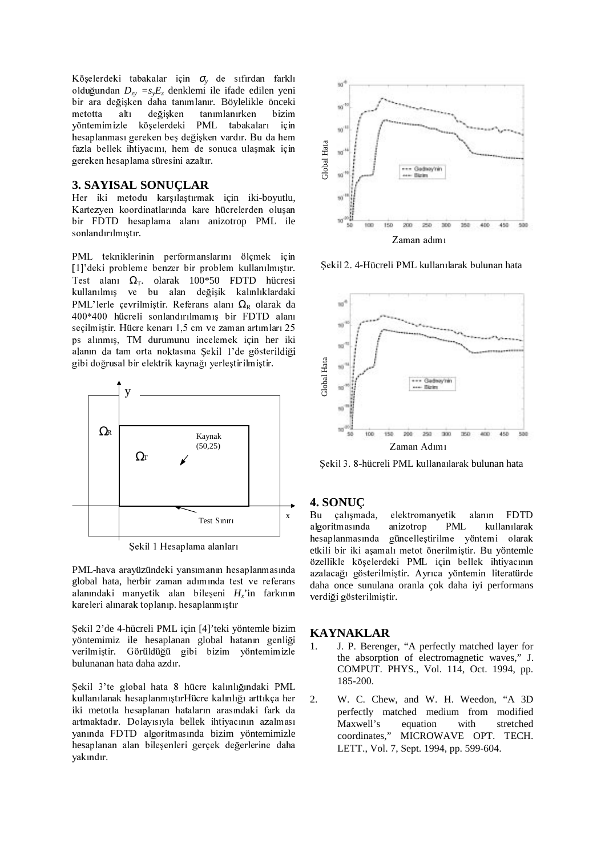Köşelerdeki tabakalar için  $\sigma_{v}$  de sıfırdan farklı olduğundan  $D_{xy} = s_y E_z$  denklemi ile ifade edilen yeni bir ara değişken daha tanımlanır. Böylelikle önceki altı değişken tanımlanırken metotta bizim vöntemimizle köselerdeki PML tabakaları icin hesaplanması gereken beş değişken vardır. Bu da hem fazla bellek ihtiyacını, hem de sonuca ulaşmak için gereken hesaplama süresini azaltır.

# **3. SAYISAL SONUCLAR**

Her iki metodu karşılaştırmak için iki-boyutlu, Kartezyen koordinatlarında kare hücrelerden oluşan bir FDTD hesaplama alanı anizotrop PML ile sonlandırılmıştır.

PML tekniklerinin performanslarını ölçmek için [1]'deki probleme benzer bir problem kullanılmıştır. Test alanı  $\Omega$ <sub>T</sub>. olarak 100\*50 FDTD hücresi kullanılmış ve bu alan değişik kalınlıklardaki PML'lerle çevrilmiştir. Referans alanı  $\Omega_R$  olarak da 400\*400 hücreli sonlandırılmamış bir FDTD alanı seçilmiştir. Hücre kenarı 1,5 cm ve zaman artımları 25 ps alınmış, TM durumunu incelemek için her iki alanın da tam orta noktasına Şekil 1'de gösterildiği gibi doğrusal bir elektrik kaynağı yerleştirilmiştir.



Şekil 1 Hesaplama alanları

PML-hava arayüzündeki yansımanın hesaplanmasında global hata, herbir zaman adımında test ve referans alanındaki manyetik alan bileşeni  $H_r$ 'in farkının kareleri alınarak toplanıp. hesaplanmıştır

Şekil 2'de 4-hücreli PML için [4]'teki yöntemle bizim yöntemimiz ile hesaplanan global hatanın genliği verilmiştir. Görüldüğü gibi bizim yöntemimizle bulunanan hata daha azdır.

Şekil 3'te global hata 8 hücre kalınlığındaki PML kullanılanak hesaplanmıştırHücre kalınlığı arttıkça her iki metotla hesaplanan hataların arasındaki fark da artmaktadır. Dolavısıyla bellek ihtiyacının azalması vanında FDTD algoritmasında bizim yöntemimizle hesaplanan alan bileşenleri gerçek değerlerine daha yakındır.



Sekil 2. 4-Hücreli PML kullanılarak bulunan hata



Sekil 3. 8-hücreli PML kullanaılarak bulunan hata

# 4. SONUC

Bu çalışmada, elektromanyetik alanın **FDTD** algoritmasında anizotrop **PML** kullanılarak güncelleştirilme yöntemi olarak hesaplanmasında etkili bir iki aşamalı metot önerilmiştir. Bu yöntemle özellikle köşelerdeki PML için bellek ihtiyacının azalacağı gösterilmiştir. Ayrıca yöntemin literatürde daha once sunulana oranla cok daha iyi performans verdiği gösterilmiştir.

#### **KAYNAKLAR**

- J. P. Berenger, "A perfectly matched layer for 1. the absorption of electromagnetic waves," J. COMPUT. PHYS., Vol. 114, Oct. 1994, pp. 185-200.
- 2. W. C. Chew, and W. H. Weedon, "A 3D perfectly matched medium from modified Maxwell's equation with stretched coordinates," MICROWAVE OPT. TECH. LETT., Vol. 7, Sept. 1994, pp. 599-604.